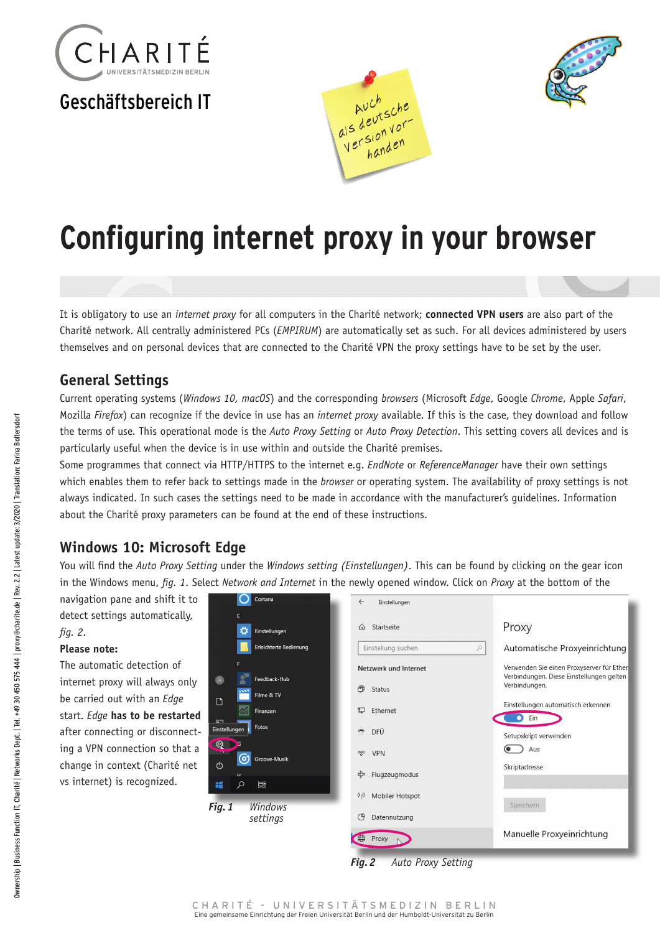

# Geschäftsbereich IT





# **Configuring internet proxy in your browser**

It is obligatory to use an *internet proxy* for all computers in the Charité network; **connected VPN users** are also part of the Charité network. All centrally administered PCs (*EMPIRUM*) are automatically set as such. For all devices administered by users themselves and on personal devices that are connected to the Charité VPN the proxy settings have to be set by the user.

#### **General Settings**

Current operating systems (*Windows 10, macOS*) and the corresponding *browsers* (Microsoft *Edge*, Google *Chrome*, Apple *Safari*, Mozilla *Firefox*) can recognize if the device in use has an *internet proxy* available. If this is the case, they download and follow the terms of use. This operational mode is the *Auto Proxy Setting* or *Auto Proxy Detection*. This setting covers all devices and is particularly useful when the device is in use within and outside the Charité premises.

Some programmes that connect via HTTP/HTTPS to the internet e.g. *EndNote* or *ReferenceManager* have their own settings which enables them to refer back to settings made in the *browser* or operating system. The availability of proxy settings is not always indicated. In such cases the settings need to be made in accordance with the manufacturer's guidelines. Information about the Charité proxy parameters can be found at the end of these instructions.

## **Windows 10: Microsoft Edge**

You will find the *Auto Proxy Setting* under the *Windows setting (Einstellungen)*. This can be found by clicking on the gear icon in the Windows menu, *fig. 1*. Select *Network and Internet* in the newly opened window. Click on *Proxy* at the bottom of the

navigation pane and shift it to detect settings automatically, *fig. 2*.

#### **Please note:**

The automatic detection of internet proxy will always only be carried out with an *Edge* start. *Edge* **has to be restarted** after connecting or disconnecting a VPN connection so that a change in context (Charité net vs internet) is recognized.



*Fig.2 Auto Proxy Setting*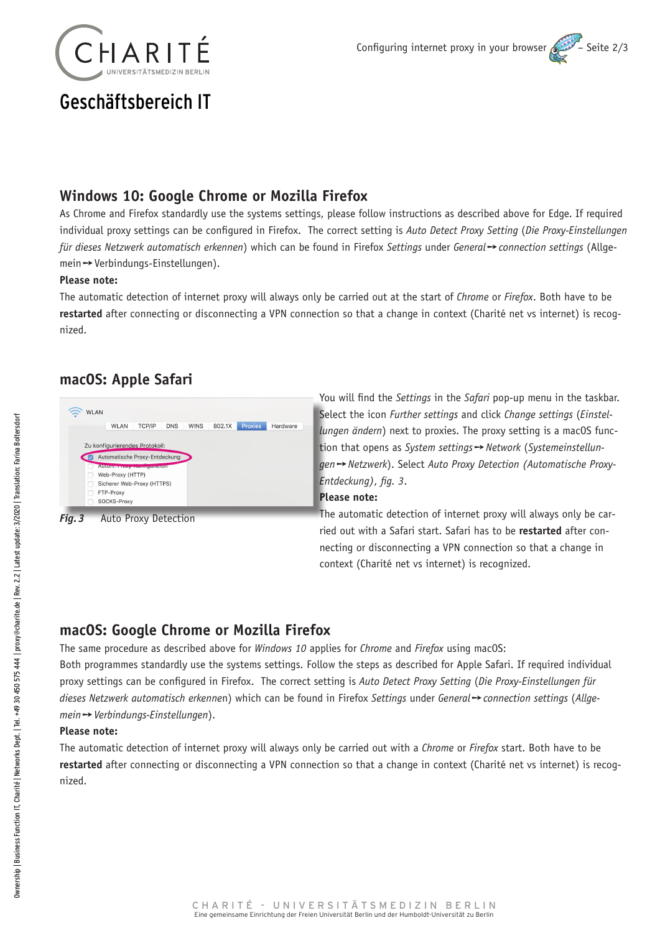

# Geschäftsbereich IT

## **Windows 10: Google Chrome or Mozilla Firefox**

As Chrome and Firefox standardly use the systems settings, please follow instructions as described above for Edge. If required individual proxy settings can be configured in Firefox. The correct setting is *Auto Detect Proxy Setting* (*Die Proxy-Einstellungen für dieses Netzwerk automatisch erkennen*) which can be found in Firefox *Settings* under *General* ➙ *connection settings* (Allgemein ➙ Verbindungs-Einstellungen).

#### **Please note:**

The automatic detection of internet proxy will always only be carried out at the start of *Chrome* or *Firefox*. Both have to be **restarted** after connecting or disconnecting a VPN connection so that a change in context (Charité net vs internet) is recognized.

## **macOS: Apple Safari**



*Fig.3* Auto Proxy Detection

You will find the *Settings* in the *Safari* pop-up menu in the taskbar. Select the icon *Further settings* and click *Change settings* (*Einstellungen ändern*) next to proxies. The proxy setting is a macOS function that opens as *System settings* ➙ *Network* (*Systemeinstellungen* ➙ *Netzwerk*). Select *Auto Proxy Detection (Automatische Proxy-Entdeckung)*, *fig. 3*.

#### **Please note:**

The automatic detection of internet proxy will always only be carried out with a Safari start. Safari has to be **restarted** after connecting or disconnecting a VPN connection so that a change in context (Charité net vs internet) is recognized.

# **macOS: Google Chrome or Mozilla Firefox**

The same procedure as described above for *Windows 10* applies for *Chrome* and *Firefox* using macOS:

Both programmes standardly use the systems settings. Follow the steps as described for Apple Safari. If required individual proxy settings can be configured in Firefox. The correct setting is *Auto Detect Proxy Setting* (*Die Proxy-Einstellungen für dieses Netzwerk automatisch erkenne*n) which can be found in Firefox *Settings* under *General* ➙ *connection settings* (*Allgemein* ➙ *Verbindungs-Einstellungen*).

#### **Please note:**

The automatic detection of internet proxy will always only be carried out with a *Chrome* or *Firefox* start. Both have to be **restarted** after connecting or disconnecting a VPN connection so that a change in context (Charité net vs internet) is recognized.